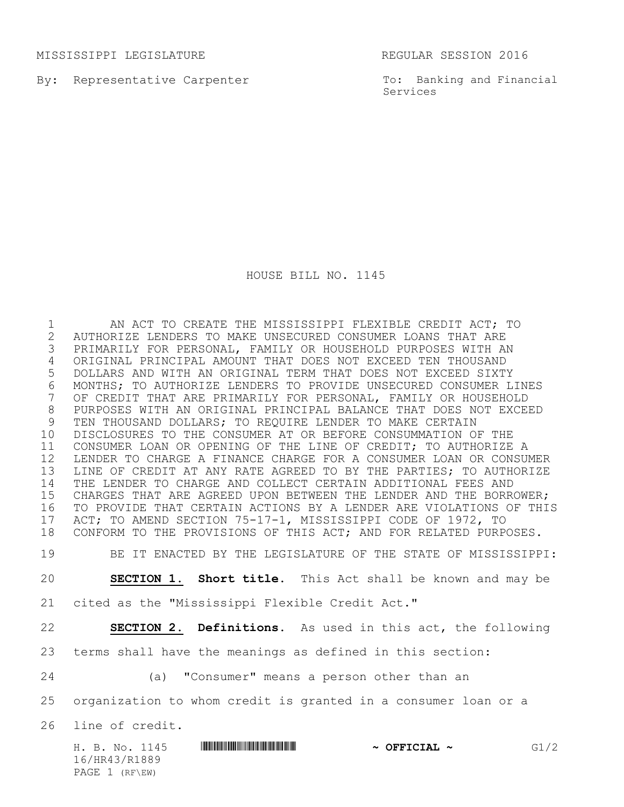MISSISSIPPI LEGISLATURE REGULAR SESSION 2016

By: Representative Carpenter

To: Banking and Financial Services

HOUSE BILL NO. 1145

 AN ACT TO CREATE THE MISSISSIPPI FLEXIBLE CREDIT ACT; TO AUTHORIZE LENDERS TO MAKE UNSECURED CONSUMER LOANS THAT ARE PRIMARILY FOR PERSONAL, FAMILY OR HOUSEHOLD PURPOSES WITH AN ORIGINAL PRINCIPAL AMOUNT THAT DOES NOT EXCEED TEN THOUSAND DOLLARS AND WITH AN ORIGINAL TERM THAT DOES NOT EXCEED SIXTY 6 MONTHS; TO AUTHORIZE LENDERS TO PROVIDE UNSECURED CONSUMER LINES<br>7 OF CREDIT THAT ARE PRIMARILY FOR PERSONAL, FAMILY OR HOUSEHOLD OF CREDIT THAT ARE PRIMARILY FOR PERSONAL, FAMILY OR HOUSEHOLD PURPOSES WITH AN ORIGINAL PRINCIPAL BALANCE THAT DOES NOT EXCEED TEN THOUSAND DOLLARS; TO REQUIRE LENDER TO MAKE CERTAIN DISCLOSURES TO THE CONSUMER AT OR BEFORE CONSUMMATION OF THE CONSUMER LOAN OR OPENING OF THE LINE OF CREDIT; TO AUTHORIZE A LENDER TO CHARGE A FINANCE CHARGE FOR A CONSUMER LOAN OR CONSUMER LINE OF CREDIT AT ANY RATE AGREED TO BY THE PARTIES; TO AUTHORIZE THE LENDER TO CHARGE AND COLLECT CERTAIN ADDITIONAL FEES AND CHARGES THAT ARE AGREED UPON BETWEEN THE LENDER AND THE BORROWER; TO PROVIDE THAT CERTAIN ACTIONS BY A LENDER ARE VIOLATIONS OF THIS 17 ACT; TO AMEND SECTION 75-17-1, MISSISSIPPI CODE OF 1972, TO<br>18 CONFORM TO THE PROVISIONS OF THIS ACT: AND FOR RELATED PURP CONFORM TO THE PROVISIONS OF THIS ACT; AND FOR RELATED PURPOSES. BE IT ENACTED BY THE LEGISLATURE OF THE STATE OF MISSISSIPPI:

**SECTION 1. Short title.** This Act shall be known and may be

cited as the "Mississippi Flexible Credit Act."

**SECTION 2. Definitions.** As used in this act, the following

terms shall have the meanings as defined in this section:

(a) "Consumer" means a person other than an

organization to whom credit is granted in a consumer loan or a

line of credit.

|  |                  | H. B. No. 1145 | <u> I III III III III III III III II III III III III III III III III III III III III III III III III III III III</u> | $\sim$ OFFICIAL $\sim$ | G1/2 |
|--|------------------|----------------|----------------------------------------------------------------------------------------------------------------------|------------------------|------|
|  | 16/HR43/R1889    |                |                                                                                                                      |                        |      |
|  | PAGE $1$ (RF\EW) |                |                                                                                                                      |                        |      |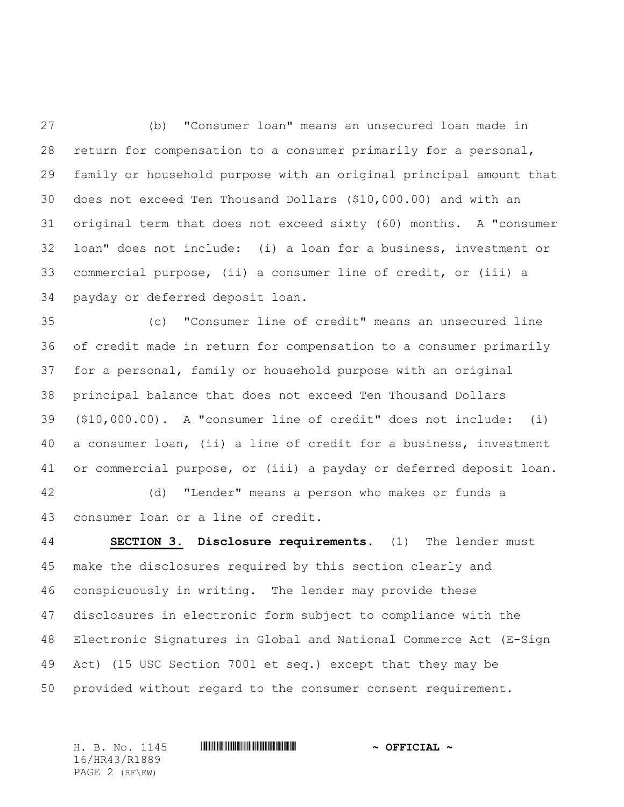(b) "Consumer loan" means an unsecured loan made in return for compensation to a consumer primarily for a personal, family or household purpose with an original principal amount that does not exceed Ten Thousand Dollars (\$10,000.00) and with an original term that does not exceed sixty (60) months. A "consumer loan" does not include: (i) a loan for a business, investment or commercial purpose, (ii) a consumer line of credit, or (iii) a payday or deferred deposit loan.

 (c) "Consumer line of credit" means an unsecured line of credit made in return for compensation to a consumer primarily for a personal, family or household purpose with an original principal balance that does not exceed Ten Thousand Dollars (\$10,000.00). A "consumer line of credit" does not include: (i) a consumer loan, (ii) a line of credit for a business, investment or commercial purpose, or (iii) a payday or deferred deposit loan.

 (d) "Lender" means a person who makes or funds a consumer loan or a line of credit.

 **SECTION 3. Disclosure requirements.** (1) The lender must make the disclosures required by this section clearly and conspicuously in writing. The lender may provide these disclosures in electronic form subject to compliance with the Electronic Signatures in Global and National Commerce Act (E-Sign Act) (15 USC Section 7001 et seq.) except that they may be provided without regard to the consumer consent requirement.

16/HR43/R1889 PAGE 2 (RF\EW)

H. B. No. 1145 **HR444 HR444 EXECUAL ~ OFFICIAL ~**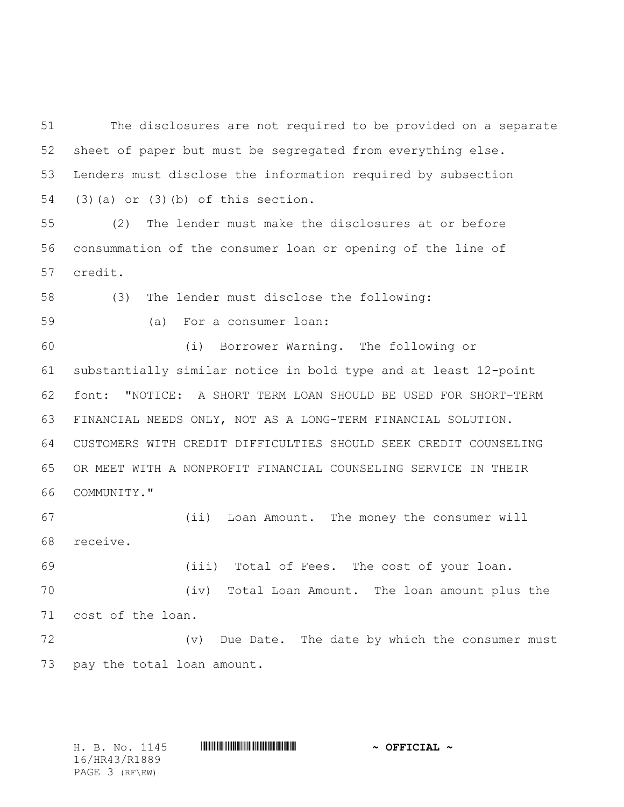The disclosures are not required to be provided on a separate sheet of paper but must be segregated from everything else. Lenders must disclose the information required by subsection (3)(a) or (3)(b) of this section.

 (2) The lender must make the disclosures at or before consummation of the consumer loan or opening of the line of credit.

(3) The lender must disclose the following:

(a) For a consumer loan:

 (i) Borrower Warning. The following or substantially similar notice in bold type and at least 12-point font: "NOTICE: A SHORT TERM LOAN SHOULD BE USED FOR SHORT-TERM FINANCIAL NEEDS ONLY, NOT AS A LONG-TERM FINANCIAL SOLUTION. CUSTOMERS WITH CREDIT DIFFICULTIES SHOULD SEEK CREDIT COUNSELING OR MEET WITH A NONPROFIT FINANCIAL COUNSELING SERVICE IN THEIR COMMUNITY."

 (ii) Loan Amount. The money the consumer will receive.

(iii) Total of Fees. The cost of your loan.

 (iv) Total Loan Amount. The loan amount plus the cost of the loan.

 (v) Due Date. The date by which the consumer must pay the total loan amount.

16/HR43/R1889 PAGE 3 (RF\EW)

H. B. No. 1145 **HR448 HR43 #HR43** HR43<sup>8</sup> **~ OFFICIAL ~**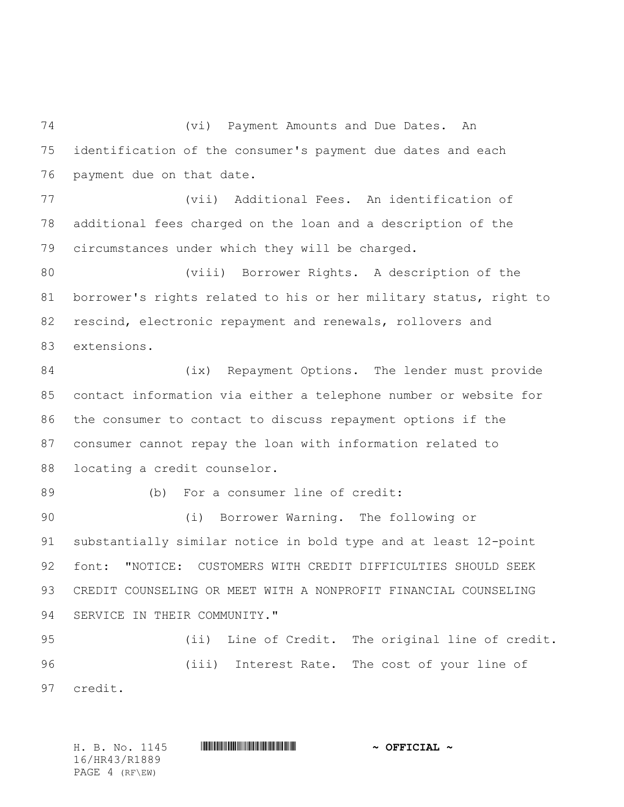(vi) Payment Amounts and Due Dates. An identification of the consumer's payment due dates and each payment due on that date.

 (vii) Additional Fees. An identification of additional fees charged on the loan and a description of the circumstances under which they will be charged.

 (viii) Borrower Rights. A description of the borrower's rights related to his or her military status, right to rescind, electronic repayment and renewals, rollovers and extensions.

84 (ix) Repayment Options. The lender must provide contact information via either a telephone number or website for the consumer to contact to discuss repayment options if the consumer cannot repay the loan with information related to locating a credit counselor.

89 (b) For a consumer line of credit:

 (i) Borrower Warning. The following or substantially similar notice in bold type and at least 12-point font: "NOTICE: CUSTOMERS WITH CREDIT DIFFICULTIES SHOULD SEEK CREDIT COUNSELING OR MEET WITH A NONPROFIT FINANCIAL COUNSELING SERVICE IN THEIR COMMUNITY."

 (ii) Line of Credit. The original line of credit. (iii) Interest Rate. The cost of your line of credit.

H. B. No. 1145 **HR444 HR444 EXECUAL ~ OFFICIAL ~** 16/HR43/R1889 PAGE 4 (RF\EW)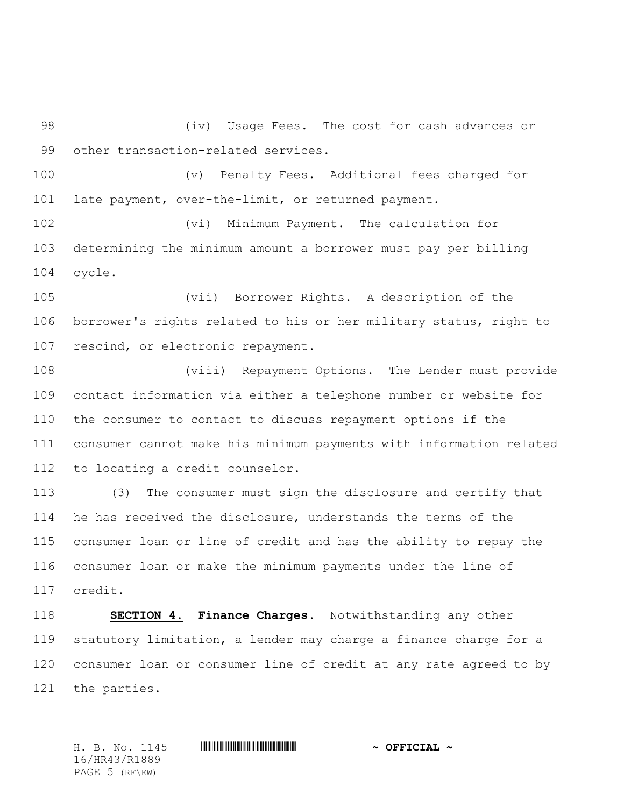(iv) Usage Fees. The cost for cash advances or other transaction-related services.

 (v) Penalty Fees. Additional fees charged for late payment, over-the-limit, or returned payment.

 (vi) Minimum Payment. The calculation for determining the minimum amount a borrower must pay per billing cycle.

 (vii) Borrower Rights. A description of the borrower's rights related to his or her military status, right to rescind, or electronic repayment.

 (viii) Repayment Options. The Lender must provide contact information via either a telephone number or website for the consumer to contact to discuss repayment options if the consumer cannot make his minimum payments with information related to locating a credit counselor.

 (3) The consumer must sign the disclosure and certify that he has received the disclosure, understands the terms of the consumer loan or line of credit and has the ability to repay the consumer loan or make the minimum payments under the line of credit.

 **SECTION 4. Finance Charges.** Notwithstanding any other statutory limitation, a lender may charge a finance charge for a consumer loan or consumer line of credit at any rate agreed to by the parties.

H. B. No. 1145 **HR444 HR444 EXECUAL ~ OFFICIAL ~** 16/HR43/R1889 PAGE 5 (RF\EW)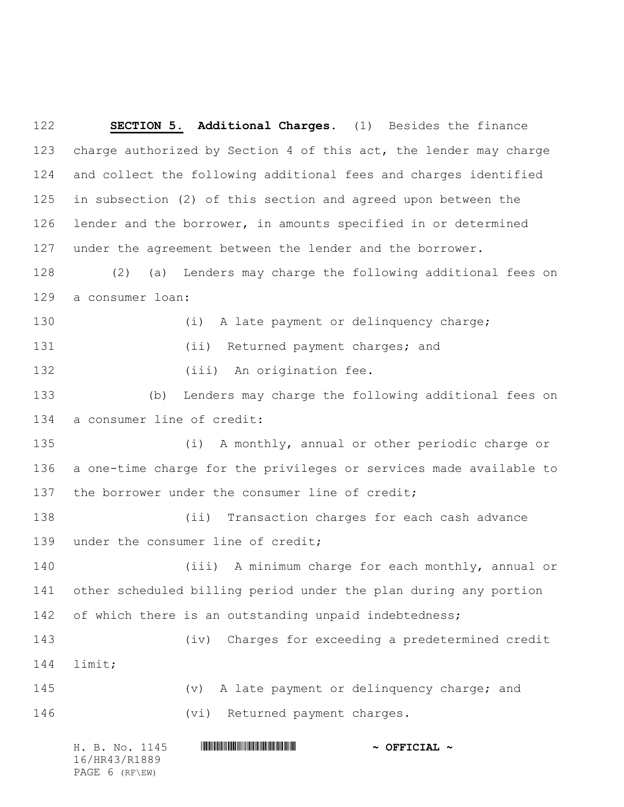**SECTION 5. Additional Charges.** (1) Besides the finance charge authorized by Section 4 of this act, the lender may charge and collect the following additional fees and charges identified in subsection (2) of this section and agreed upon between the lender and the borrower, in amounts specified in or determined under the agreement between the lender and the borrower. (2) (a) Lenders may charge the following additional fees on a consumer loan: 130 (i) A late payment or delinquency charge; 131 (ii) Returned payment charges; and 132 (iii) An origination fee. (b) Lenders may charge the following additional fees on a consumer line of credit: (i) A monthly, annual or other periodic charge or a one-time charge for the privileges or services made available to 137 the borrower under the consumer line of credit; (ii) Transaction charges for each cash advance 139 under the consumer line of credit; (iii) A minimum charge for each monthly, annual or other scheduled billing period under the plan during any portion 142 of which there is an outstanding unpaid indebtedness; (iv) Charges for exceeding a predetermined credit limit; (v) A late payment or delinquency charge; and 146 (vi) Returned payment charges.

|  |                | H. B. No. 1145 |  | $\sim$ OFFICIAL $\sim$ |
|--|----------------|----------------|--|------------------------|
|  | 16/HR43/R1889  |                |  |                        |
|  | PAGE 6 (RF\EW) |                |  |                        |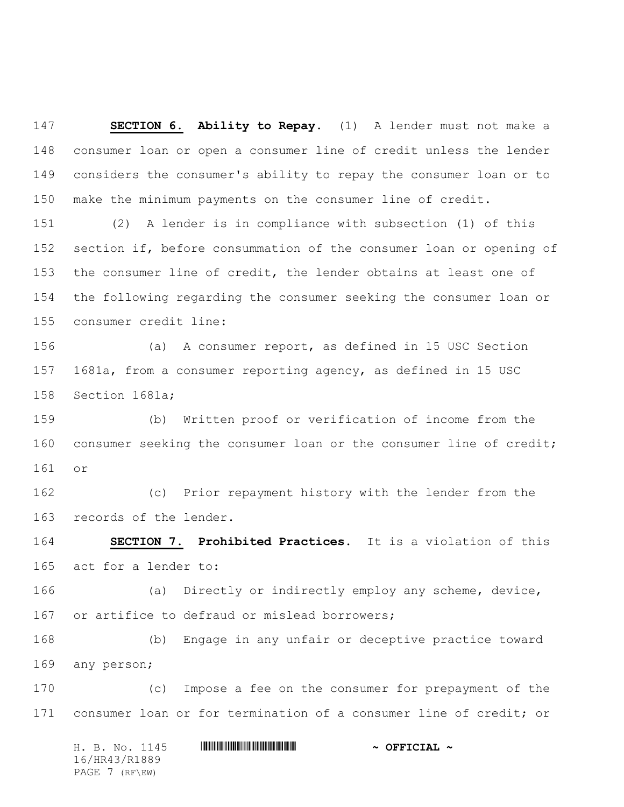**SECTION 6. Ability to Repay.** (1) A lender must not make a consumer loan or open a consumer line of credit unless the lender considers the consumer's ability to repay the consumer loan or to make the minimum payments on the consumer line of credit.

 (2) A lender is in compliance with subsection (1) of this section if, before consummation of the consumer loan or opening of the consumer line of credit, the lender obtains at least one of the following regarding the consumer seeking the consumer loan or consumer credit line:

 (a) A consumer report, as defined in 15 USC Section 1681a, from a consumer reporting agency, as defined in 15 USC Section 1681a;

 (b) Written proof or verification of income from the consumer seeking the consumer loan or the consumer line of credit; or

 (c) Prior repayment history with the lender from the records of the lender.

 **SECTION 7. Prohibited Practices.** It is a violation of this act for a lender to:

 (a) Directly or indirectly employ any scheme, device, or artifice to defraud or mislead borrowers;

 (b) Engage in any unfair or deceptive practice toward any person;

 (c) Impose a fee on the consumer for prepayment of the consumer loan or for termination of a consumer line of credit; or

H. B. No. 1145 **HR444 HR444 EXECUAL ~ OFFICIAL ~** 16/HR43/R1889 PAGE 7 (RF\EW)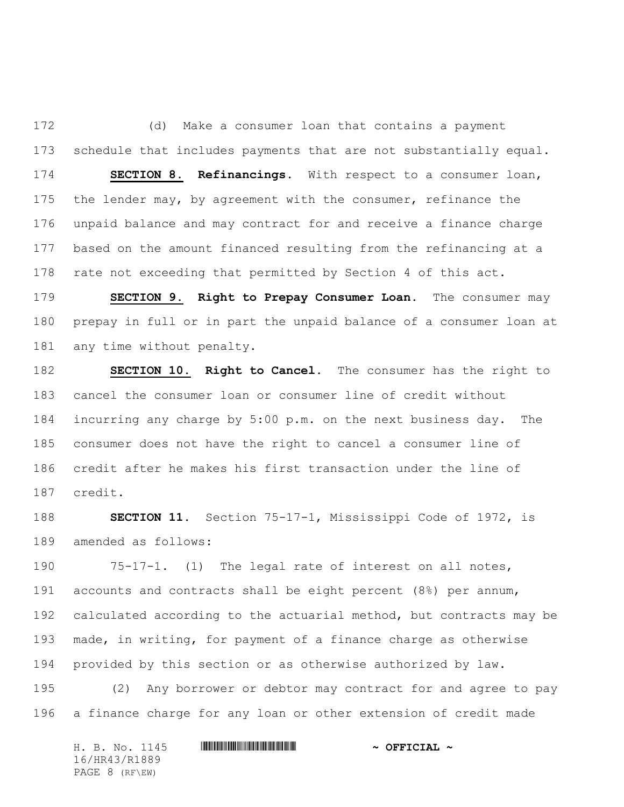(d) Make a consumer loan that contains a payment schedule that includes payments that are not substantially equal. **SECTION 8. Refinancings.** With respect to a consumer loan, the lender may, by agreement with the consumer, refinance the unpaid balance and may contract for and receive a finance charge

 based on the amount financed resulting from the refinancing at a rate not exceeding that permitted by Section 4 of this act.

 **SECTION 9. Right to Prepay Consumer Loan.** The consumer may prepay in full or in part the unpaid balance of a consumer loan at any time without penalty.

 **SECTION 10. Right to Cancel.** The consumer has the right to cancel the consumer loan or consumer line of credit without incurring any charge by 5:00 p.m. on the next business day. The consumer does not have the right to cancel a consumer line of credit after he makes his first transaction under the line of credit.

 **SECTION 11.** Section 75-17-1, Mississippi Code of 1972, is amended as follows:

 75-17-1. (1) The legal rate of interest on all notes, accounts and contracts shall be eight percent (8%) per annum, calculated according to the actuarial method, but contracts may be made, in writing, for payment of a finance charge as otherwise provided by this section or as otherwise authorized by law.

 (2) Any borrower or debtor may contract for and agree to pay a finance charge for any loan or other extension of credit made

|               |                | H. B. No. 1145 |  |  | $\sim$ OFFICIAL $\sim$ |  |  |  |
|---------------|----------------|----------------|--|--|------------------------|--|--|--|
| 16/HR43/R1889 |                |                |  |  |                        |  |  |  |
|               | PAGE 8 (RF\EW) |                |  |  |                        |  |  |  |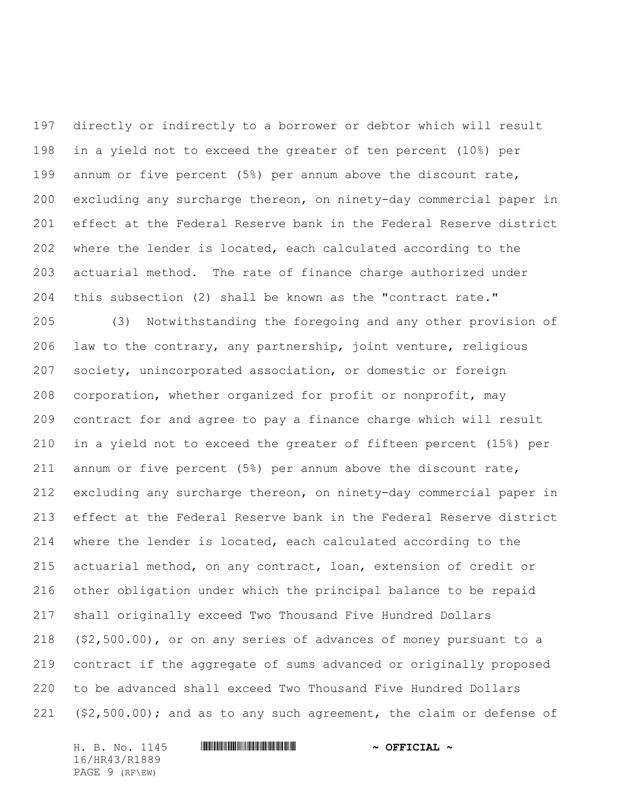directly or indirectly to a borrower or debtor which will result in a yield not to exceed the greater of ten percent (10%) per annum or five percent (5%) per annum above the discount rate, excluding any surcharge thereon, on ninety-day commercial paper in effect at the Federal Reserve bank in the Federal Reserve district where the lender is located, each calculated according to the actuarial method. The rate of finance charge authorized under this subsection (2) shall be known as the "contract rate."

 (3) Notwithstanding the foregoing and any other provision of law to the contrary, any partnership, joint venture, religious society, unincorporated association, or domestic or foreign corporation, whether organized for profit or nonprofit, may contract for and agree to pay a finance charge which will result in a yield not to exceed the greater of fifteen percent (15%) per annum or five percent (5%) per annum above the discount rate, excluding any surcharge thereon, on ninety-day commercial paper in effect at the Federal Reserve bank in the Federal Reserve district where the lender is located, each calculated according to the actuarial method, on any contract, loan, extension of credit or other obligation under which the principal balance to be repaid shall originally exceed Two Thousand Five Hundred Dollars (\$2,500.00), or on any series of advances of money pursuant to a contract if the aggregate of sums advanced or originally proposed to be advanced shall exceed Two Thousand Five Hundred Dollars (\$2,500.00); and as to any such agreement, the claim or defense of

H. B. No. 1145 **HR448 EXECUTAL ~ OFFICIAL ~** 16/HR43/R1889 PAGE 9 (RF\EW)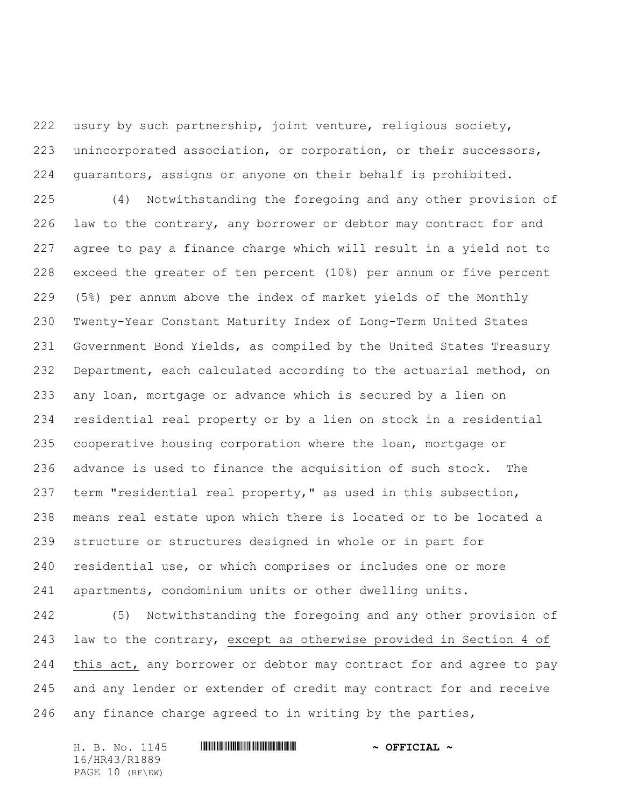usury by such partnership, joint venture, religious society, unincorporated association, or corporation, or their successors, guarantors, assigns or anyone on their behalf is prohibited.

 (4) Notwithstanding the foregoing and any other provision of law to the contrary, any borrower or debtor may contract for and agree to pay a finance charge which will result in a yield not to exceed the greater of ten percent (10%) per annum or five percent (5%) per annum above the index of market yields of the Monthly Twenty-Year Constant Maturity Index of Long-Term United States Government Bond Yields, as compiled by the United States Treasury Department, each calculated according to the actuarial method, on any loan, mortgage or advance which is secured by a lien on residential real property or by a lien on stock in a residential cooperative housing corporation where the loan, mortgage or advance is used to finance the acquisition of such stock. The term "residential real property," as used in this subsection, means real estate upon which there is located or to be located a structure or structures designed in whole or in part for residential use, or which comprises or includes one or more apartments, condominium units or other dwelling units.

 (5) Notwithstanding the foregoing and any other provision of law to the contrary, except as otherwise provided in Section 4 of this act, any borrower or debtor may contract for and agree to pay and any lender or extender of credit may contract for and receive any finance charge agreed to in writing by the parties,

H. B. No. 1145 **HR448 ENGLES FRAGE ASSESSED ASSESSED A** 16/HR43/R1889 PAGE 10 (RF\EW)